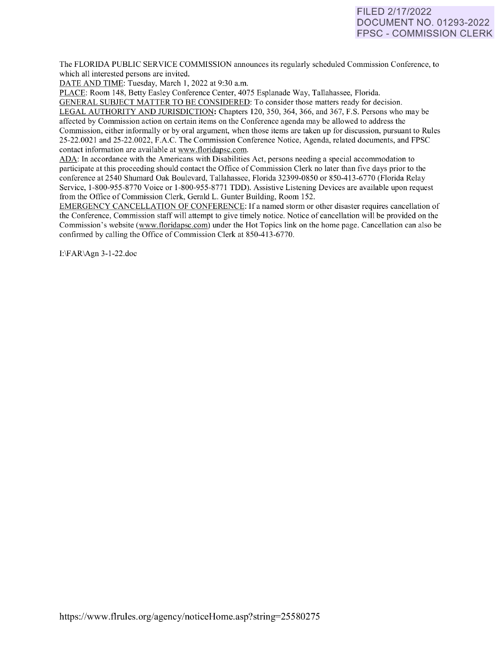# FILED 2/17/2022 DOCUMENT NO. 01293-2022 FPSC - COMMISSION CLERK

The FLORIDA PUBLIC SERVICE COMMISSION announces its regularly scheduled Commission Conference, to which all interested persons are invited.

DATE AND TIME: Tuesday, March 1, 2022 at 9:30 a.m.

PLACE: Room 148, Betty Easley Conference Center, 4075 Esplanade Way, Tallahassee, Florida.

GENERAL SUBJECT MATTER TO BE CONSIDERED: To consider those matters ready for decision. LEGAL AUTHORITY AND JURISDICTION: Chapters 120, 350, 364, 366, and 367, F.S. Persons who may be affected by Commission action on certain items on the Conference agenda may be allowed to address the Commission, either informally or by oral argument, when those items are taken up for discussion, pursuant to Rules 25-22.0021 and 25-22.0022, F.A.C. The Commission Conference Notice, Agenda, related documents, and FPSC contact information are available at [www.floridapsc.com.](http://www.floridapsc.com/) 

ADA: In accordance with the Americans with Disabilities Act, persons needing a special accommodation to participate at this proceeding should contact the Office of Commission Clerk no later than five days prior to the conference at 2540 Shumard Oak Boulevard, Tallahassee, Florida 32399-0850 or 850-41 3-6770 (Florida Relay Service, 1-800-955-8770 Voice or 1-800-955-8771 TDD). Assistive Listening Devices are available upon request from the Office of Commission Clerk, Gerald L. Gunter Building, Room 152.

EMERGENCY CANCELLATION OF CONFERENCE: If a named storm or other disaster requires cancellation of the Conference, Commission staff will attempt to give timely notice. Notice of cancellation will be provided on the Commission's website [\(www.floridapsc.com\)](http://www.floridapsc.com/) under the Hot Topics link on the home page. Cancellation can also be confirmed by calling the Office of Commission Clerk at 850-413-6770.

1:\FAR\Agn 3-1-22.doc